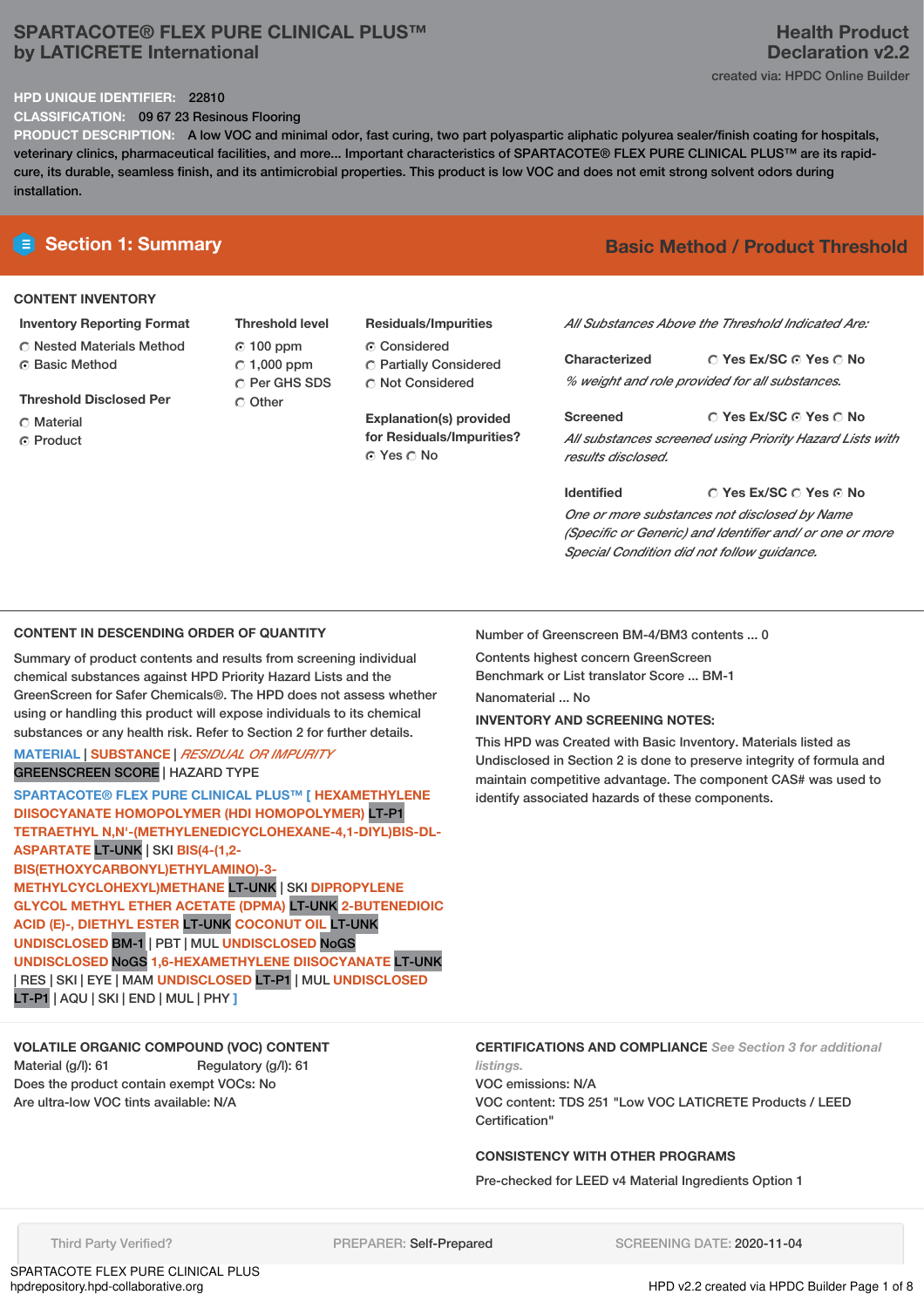# **SPARTACOTE® FLEX PURE CLINICAL PLUS™ by LATICRETE International**

### **HPD UNIQUE IDENTIFIER:** 22810

**CLASSIFICATION:** 09 67 23 Resinous Flooring

**PRODUCT DESCRIPTION:** A low VOC and minimal odor, fast curing, two part polyaspartic aliphatic polyurea sealer/finish coating for hospitals, veterinary clinics, pharmaceutical facilities, and more... Important characteristics of SPARTACOTE® FLEX PURE CLINICAL PLUS™ are its rapidcure, its durable, seamless finish, and its antimicrobial properties. This product is low VOC and does not emit strong solvent odors during installation.

# **CONTENT INVENTORY**

- **Inventory Reporting Format** Nested Materials Method
- **G** Basic Method
- **Threshold Disclosed Per**
- Material
- **C** Product

**Threshold level** 100 ppm  $\degree$  1,000 ppm C Per GHS SDS Other

**Residuals/Impurities** Considered Partially Considered

 $\bigcirc$  Not Considered

**Explanation(s) provided for Residuals/Impurities?** Yes No

# **E** Section 1: Summary **Basic Method /** Product Threshold

*All Substances Above the Threshold Indicated Are:*

**Yes Ex/SC Yes No Characterized** *% weight and role provided for all substances.*

**Yes Ex/SC Yes No Screened** *All substances screened using Priority Hazard Lists with results disclosed.*

**Yes Ex/SC Yes No Identified** *One or more substances not disclosed by Name (Specific or Generic) and Identifier and/ or one or more Special Condition did not follow guidance.*

# **CONTENT IN DESCENDING ORDER OF QUANTITY**

Summary of product contents and results from screening individual chemical substances against HPD Priority Hazard Lists and the GreenScreen for Safer Chemicals®. The HPD does not assess whether using or handling this product will expose individuals to its chemical substances or any health risk. Refer to Section 2 for further details.

### **MATERIAL** | **SUBSTANCE** | *RESIDUAL OR IMPURITY* GREENSCREEN SCORE | HAZARD TYPE

**SPARTACOTE® FLEX PURE CLINICAL PLUS™ [ HEXAMETHYLENE DIISOCYANATE HOMOPOLYMER (HDI HOMOPOLYMER)** LT-P1 **TETRAETHYL N,N'-(METHYLENEDICYCLOHEXANE-4,1-DIYL)BIS-DL-ASPARTATE** LT-UNK | SKI **BIS(4-(1,2- BIS(ETHOXYCARBONYL)ETHYLAMINO)-3- METHYLCYCLOHEXYL)METHANE** LT-UNK | SKI **DIPROPYLENE GLYCOL METHYL ETHER ACETATE (DPMA)** LT-UNK **2-BUTENEDIOIC ACID (E)-, DIETHYL ESTER** LT-UNK **COCONUT OIL** LT-UNK **UNDISCLOSED** BM-1 | PBT | MUL **UNDISCLOSED** NoGS **UNDISCLOSED** NoGS **1,6-HEXAMETHYLENE DIISOCYANATE** LT-UNK | RES | SKI | EYE | MAM **UNDISCLOSED** LT-P1 | MUL **UNDISCLOSED** LT-P1 | AQU | SKI | END | MUL | PHY **]**

# **VOLATILE ORGANIC COMPOUND (VOC) CONTENT**

Material (g/l): 61 Regulatory (g/l): 61 Does the product contain exempt VOCs: No Are ultra-low VOC tints available: N/A

Number of Greenscreen BM-4/BM3 contents ... 0

Contents highest concern GreenScreen Benchmark or List translator Score ... BM-1

Nanomaterial No

### **INVENTORY AND SCREENING NOTES:**

This HPD was Created with Basic Inventory. Materials listed as Undisclosed in Section 2 is done to preserve integrity of formula and maintain competitive advantage. The component CAS# was used to identify associated hazards of these components.

**CERTIFICATIONS AND COMPLIANCE** *See Section 3 for additional listings.*

VOC emissions: N/A VOC content: TDS 251 "Low VOC LATICRETE Products / LEED Certification"

# **CONSISTENCY WITH OTHER PROGRAMS**

Pre-checked for LEED v4 Material Ingredients Option 1

Third Party Verified? **PREPARER: Self-Prepared** SCREENING DATE: 2020-11-04

HPD v2.2 created via HPDC Builder Page 1 of 8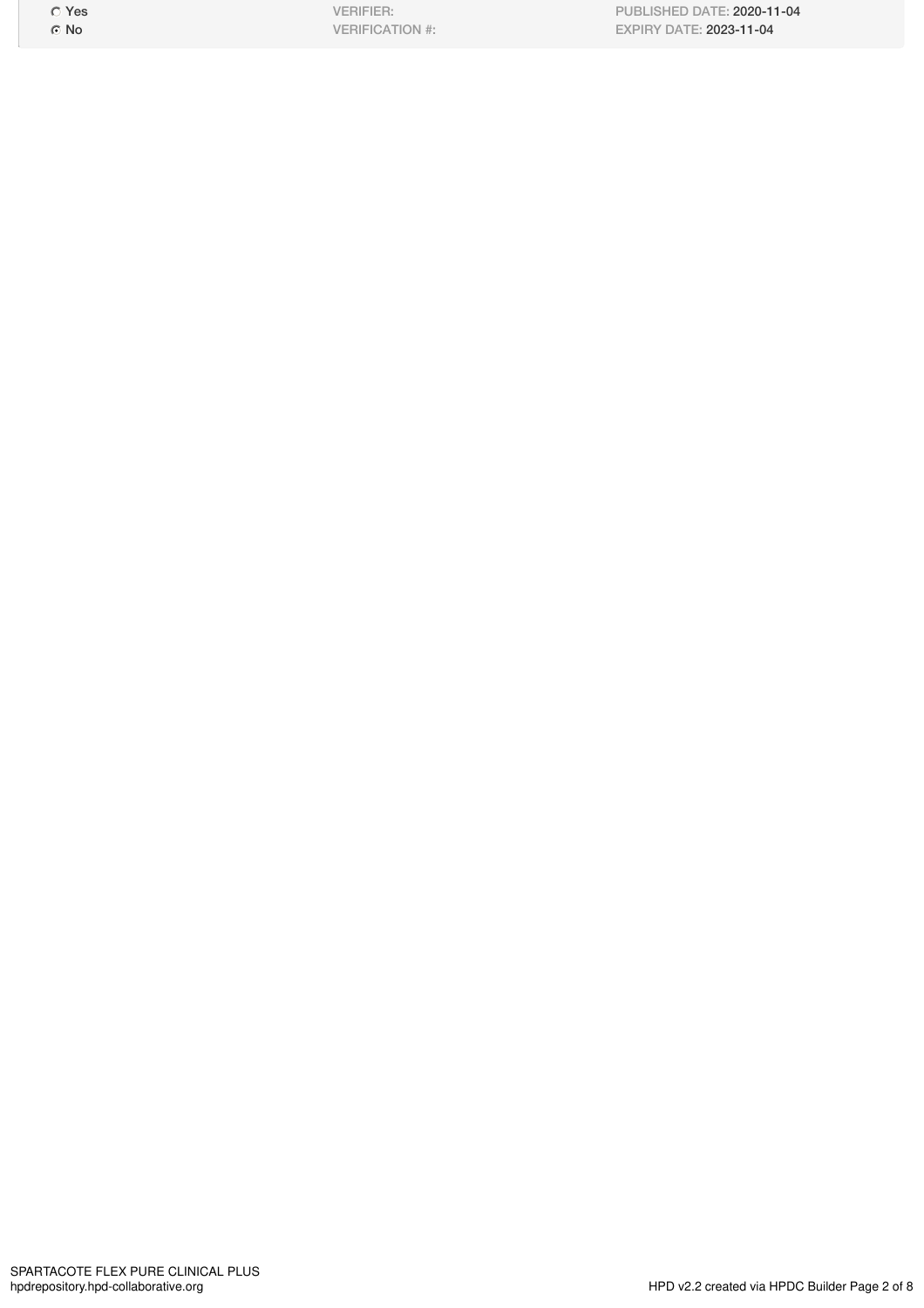Yes ⊙ No

VERIFIER: VERIFICATION #:

PUBLISHED DATE: 2020-11-04 EXPIRY DATE: 2023-11-04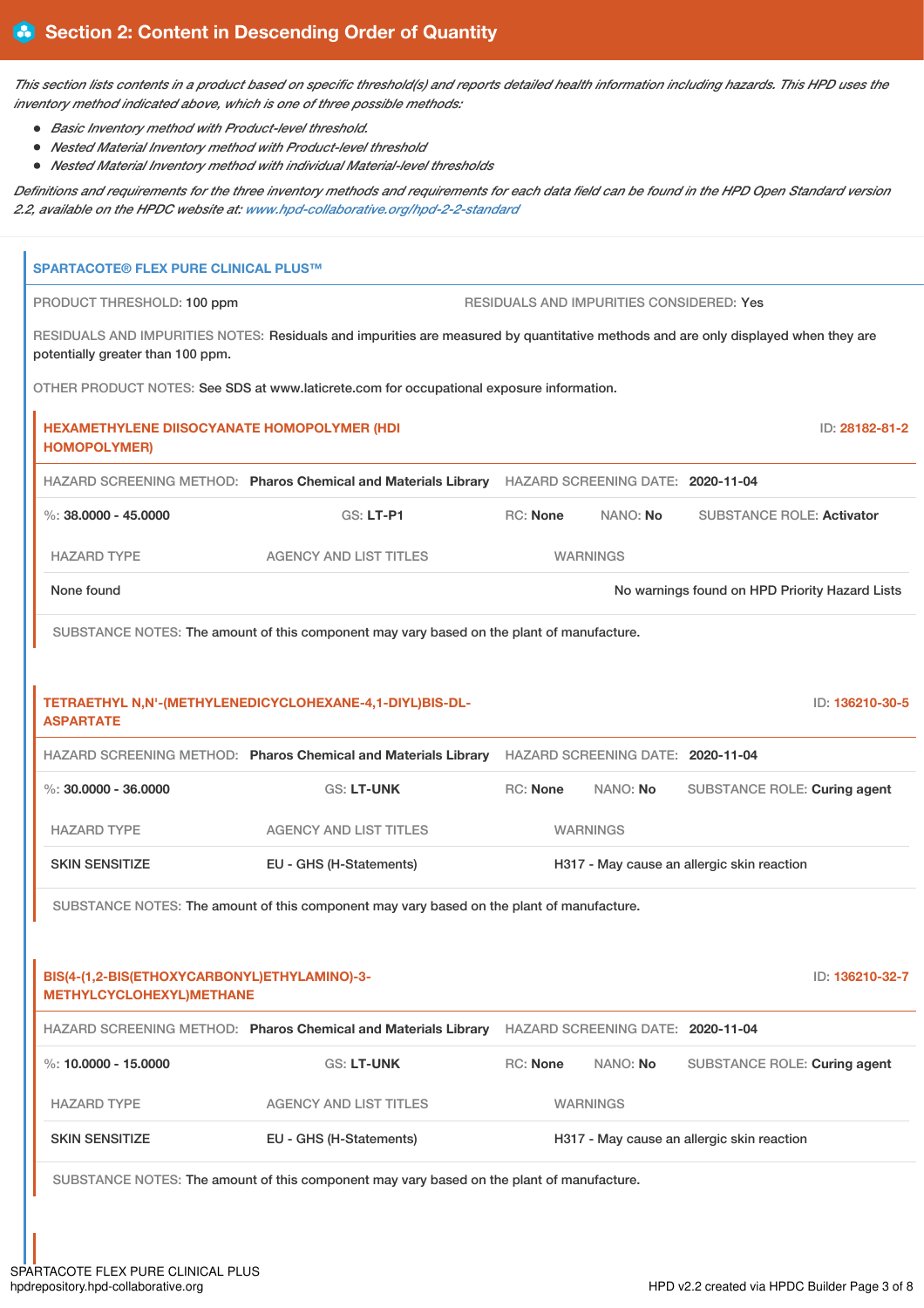This section lists contents in a product based on specific threshold(s) and reports detailed health information including hazards. This HPD uses the *inventory method indicated above, which is one of three possible methods:*

- *Basic Inventory method with Product-level threshold.*
- *Nested Material Inventory method with Product-level threshold*
- *Nested Material Inventory method with individual Material-level thresholds*

Definitions and requirements for the three inventory methods and requirements for each data field can be found in the HPD Open Standard version *2.2, available on the HPDC website at: [www.hpd-collaborative.org/hpd-2-2-standard](https://www.hpd-collaborative.org/hpd-2-2-standard)*

| <b>SPARTACOTE® FLEX PURE CLINICAL PLUS™</b>                               |                                                                                                                                    |                                            |                                          |                                                |
|---------------------------------------------------------------------------|------------------------------------------------------------------------------------------------------------------------------------|--------------------------------------------|------------------------------------------|------------------------------------------------|
| PRODUCT THRESHOLD: 100 ppm                                                |                                                                                                                                    |                                            | RESIDUALS AND IMPURITIES CONSIDERED: Yes |                                                |
| potentially greater than 100 ppm.                                         | RESIDUALS AND IMPURITIES NOTES: Residuals and impurities are measured by quantitative methods and are only displayed when they are |                                            |                                          |                                                |
|                                                                           | OTHER PRODUCT NOTES: See SDS at www.laticrete.com for occupational exposure information.                                           |                                            |                                          |                                                |
| <b>HEXAMETHYLENE DIISOCYANATE HOMOPOLYMER (HDI</b><br><b>HOMOPOLYMER)</b> |                                                                                                                                    |                                            |                                          | ID: 28182-81-2                                 |
|                                                                           | HAZARD SCREENING METHOD: Pharos Chemical and Materials Library                                                                     |                                            | HAZARD SCREENING DATE: 2020-11-04        |                                                |
| $\%$ : 38.0000 - 45.0000                                                  | <b>GS: LT-P1</b>                                                                                                                   | <b>RC:</b> None                            | NANO: No                                 | <b>SUBSTANCE ROLE: Activator</b>               |
| <b>HAZARD TYPE</b>                                                        | <b>AGENCY AND LIST TITLES</b>                                                                                                      |                                            | <b>WARNINGS</b>                          |                                                |
| None found                                                                |                                                                                                                                    |                                            |                                          | No warnings found on HPD Priority Hazard Lists |
|                                                                           | SUBSTANCE NOTES: The amount of this component may vary based on the plant of manufacture.                                          |                                            |                                          |                                                |
|                                                                           |                                                                                                                                    |                                            |                                          |                                                |
| <b>ASPARTATE</b>                                                          | TETRAETHYL N,N'-(METHYLENEDICYCLOHEXANE-4,1-DIYL)BIS-DL-                                                                           |                                            |                                          | ID: 136210-30-5                                |
|                                                                           | HAZARD SCREENING METHOD: Pharos Chemical and Materials Library                                                                     |                                            | HAZARD SCREENING DATE: 2020-11-04        |                                                |
| $\%$ : 30.0000 - 36.0000                                                  | <b>GS: LT-UNK</b>                                                                                                                  | <b>RC: None</b>                            | NANO: No                                 | SUBSTANCE ROLE: Curing agent                   |
| <b>HAZARD TYPE</b>                                                        | <b>AGENCY AND LIST TITLES</b>                                                                                                      | <b>WARNINGS</b>                            |                                          |                                                |
| <b>SKIN SENSITIZE</b>                                                     | EU - GHS (H-Statements)                                                                                                            | H317 - May cause an allergic skin reaction |                                          |                                                |
|                                                                           | SUBSTANCE NOTES: The amount of this component may vary based on the plant of manufacture.                                          |                                            |                                          |                                                |
|                                                                           |                                                                                                                                    |                                            |                                          |                                                |
| BIS(4-(1,2-BIS(ETHOXYCARBONYL)ETHYLAMINO)-3-<br>METHYLCYCLOHEXYL) METHANE |                                                                                                                                    |                                            |                                          | ID: 136210-32-7                                |
|                                                                           | HAZARD SCREENING METHOD: Pharos Chemical and Materials Library                                                                     | HAZARD SCREENING DATE: 2020-11-04          |                                          |                                                |
| %: 10.0000 - 15.0000                                                      | <b>GS: LT-UNK</b>                                                                                                                  | <b>RC: None</b>                            | NANO: No                                 | SUBSTANCE ROLE: Curing agent                   |
| <b>HAZARD TYPE</b>                                                        | <b>AGENCY AND LIST TITLES</b>                                                                                                      |                                            | <b>WARNINGS</b>                          |                                                |
| <b>SKIN SENSITIZE</b>                                                     | EU - GHS (H-Statements)                                                                                                            |                                            |                                          | H317 - May cause an allergic skin reaction     |
|                                                                           | SUBSTANCE NOTES: The amount of this component may vary based on the plant of manufacture.                                          |                                            |                                          |                                                |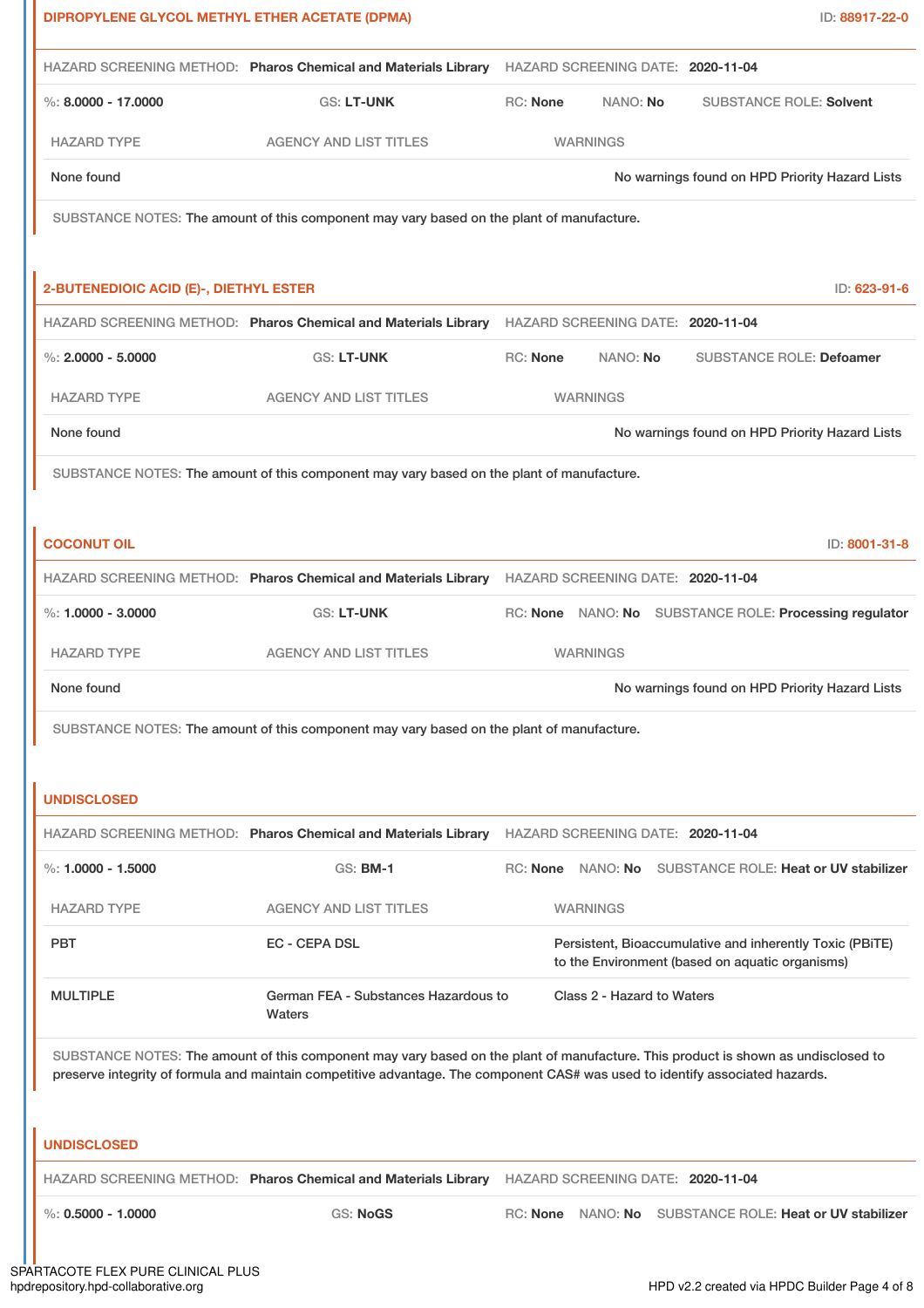| DIPROPYLENE GLYCOL METHYL ETHER ACETATE (DPMA) |                                                                                                                                                                                                                                                                    |                 |                            |                                                                                                             | ID: 88917-22-0                                          |
|------------------------------------------------|--------------------------------------------------------------------------------------------------------------------------------------------------------------------------------------------------------------------------------------------------------------------|-----------------|----------------------------|-------------------------------------------------------------------------------------------------------------|---------------------------------------------------------|
|                                                | HAZARD SCREENING METHOD: Pharos Chemical and Materials Library HAZARD SCREENING DATE: 2020-11-04                                                                                                                                                                   |                 |                            |                                                                                                             |                                                         |
| %: $8,0000 - 17,0000$                          | <b>GS: LT-UNK</b>                                                                                                                                                                                                                                                  | RC: None        | NANO: No                   |                                                                                                             | <b>SUBSTANCE ROLE: Solvent</b>                          |
| <b>HAZARD TYPE</b>                             | <b>AGENCY AND LIST TITLES</b>                                                                                                                                                                                                                                      |                 | <b>WARNINGS</b>            |                                                                                                             |                                                         |
| None found                                     |                                                                                                                                                                                                                                                                    |                 |                            |                                                                                                             | No warnings found on HPD Priority Hazard Lists          |
|                                                | SUBSTANCE NOTES: The amount of this component may vary based on the plant of manufacture.                                                                                                                                                                          |                 |                            |                                                                                                             |                                                         |
|                                                |                                                                                                                                                                                                                                                                    |                 |                            |                                                                                                             |                                                         |
| 2-BUTENEDIOIC ACID (E)-, DIETHYL ESTER         |                                                                                                                                                                                                                                                                    |                 |                            |                                                                                                             | ID: 623-91-6                                            |
|                                                | HAZARD SCREENING METHOD: Pharos Chemical and Materials Library HAZARD SCREENING DATE: 2020-11-04                                                                                                                                                                   |                 |                            |                                                                                                             |                                                         |
| %: $2.0000 - 5.0000$                           | <b>GS: LT-UNK</b>                                                                                                                                                                                                                                                  | <b>RC: None</b> | NANO: No                   |                                                                                                             | <b>SUBSTANCE ROLE: Defoamer</b>                         |
| <b>HAZARD TYPE</b>                             | <b>AGENCY AND LIST TITLES</b>                                                                                                                                                                                                                                      |                 | <b>WARNINGS</b>            |                                                                                                             |                                                         |
| None found                                     |                                                                                                                                                                                                                                                                    |                 |                            |                                                                                                             | No warnings found on HPD Priority Hazard Lists          |
|                                                | SUBSTANCE NOTES: The amount of this component may vary based on the plant of manufacture.                                                                                                                                                                          |                 |                            |                                                                                                             |                                                         |
|                                                |                                                                                                                                                                                                                                                                    |                 |                            |                                                                                                             |                                                         |
| <b>COCONUT OIL</b>                             |                                                                                                                                                                                                                                                                    |                 |                            |                                                                                                             | ID: 8001-31-8                                           |
|                                                | HAZARD SCREENING METHOD: Pharos Chemical and Materials Library HAZARD SCREENING DATE: 2020-11-04                                                                                                                                                                   |                 |                            |                                                                                                             |                                                         |
| %: $1.0000 - 3.0000$                           | <b>GS: LT-UNK</b>                                                                                                                                                                                                                                                  |                 |                            |                                                                                                             | RC: None NANO: No SUBSTANCE ROLE: Processing regulator  |
| <b>HAZARD TYPE</b>                             | <b>AGENCY AND LIST TITLES</b>                                                                                                                                                                                                                                      |                 | <b>WARNINGS</b>            |                                                                                                             |                                                         |
| None found                                     |                                                                                                                                                                                                                                                                    |                 |                            |                                                                                                             | No warnings found on HPD Priority Hazard Lists          |
|                                                | SUBSTANCE NOTES: The amount of this component may vary based on the plant of manufacture.                                                                                                                                                                          |                 |                            |                                                                                                             |                                                         |
|                                                |                                                                                                                                                                                                                                                                    |                 |                            |                                                                                                             |                                                         |
| <b>UNDISCLOSED</b>                             |                                                                                                                                                                                                                                                                    |                 |                            |                                                                                                             |                                                         |
|                                                | HAZARD SCREENING METHOD: Pharos Chemical and Materials Library HAZARD SCREENING DATE: 2020-11-04                                                                                                                                                                   |                 |                            |                                                                                                             |                                                         |
| %: $1.0000 - 1.5000$                           | <b>GS: BM-1</b>                                                                                                                                                                                                                                                    |                 |                            |                                                                                                             | RC: None NANO: No SUBSTANCE ROLE: Heat or UV stabilizer |
| <b>HAZARD TYPE</b>                             | <b>AGENCY AND LIST TITLES</b>                                                                                                                                                                                                                                      |                 | <b>WARNINGS</b>            |                                                                                                             |                                                         |
| <b>PBT</b>                                     | <b>EC - CEPA DSL</b>                                                                                                                                                                                                                                               |                 |                            | Persistent, Bioaccumulative and inherently Toxic (PBiTE)<br>to the Environment (based on aquatic organisms) |                                                         |
| <b>MULTIPLE</b>                                | German FEA - Substances Hazardous to<br>Waters                                                                                                                                                                                                                     |                 | Class 2 - Hazard to Waters |                                                                                                             |                                                         |
|                                                | SUBSTANCE NOTES: The amount of this component may vary based on the plant of manufacture. This product is shown as undisclosed to<br>preserve integrity of formula and maintain competitive advantage. The component CAS# was used to identify associated hazards. |                 |                            |                                                                                                             |                                                         |
| <b>UNDISCLOSED</b>                             |                                                                                                                                                                                                                                                                    |                 |                            |                                                                                                             |                                                         |
|                                                | HAZARD SCREENING METHOD: Pharos Chemical and Materials Library                                                                                                                                                                                                     |                 |                            | HAZARD SCREENING DATE: 2020-11-04                                                                           |                                                         |
| $\%$ : 0.5000 - 1.0000                         | <b>GS: NoGS</b>                                                                                                                                                                                                                                                    | RC: None        |                            |                                                                                                             | NANO: No SUBSTANCE ROLE: Heat or UV stabilizer          |
|                                                |                                                                                                                                                                                                                                                                    |                 |                            |                                                                                                             |                                                         |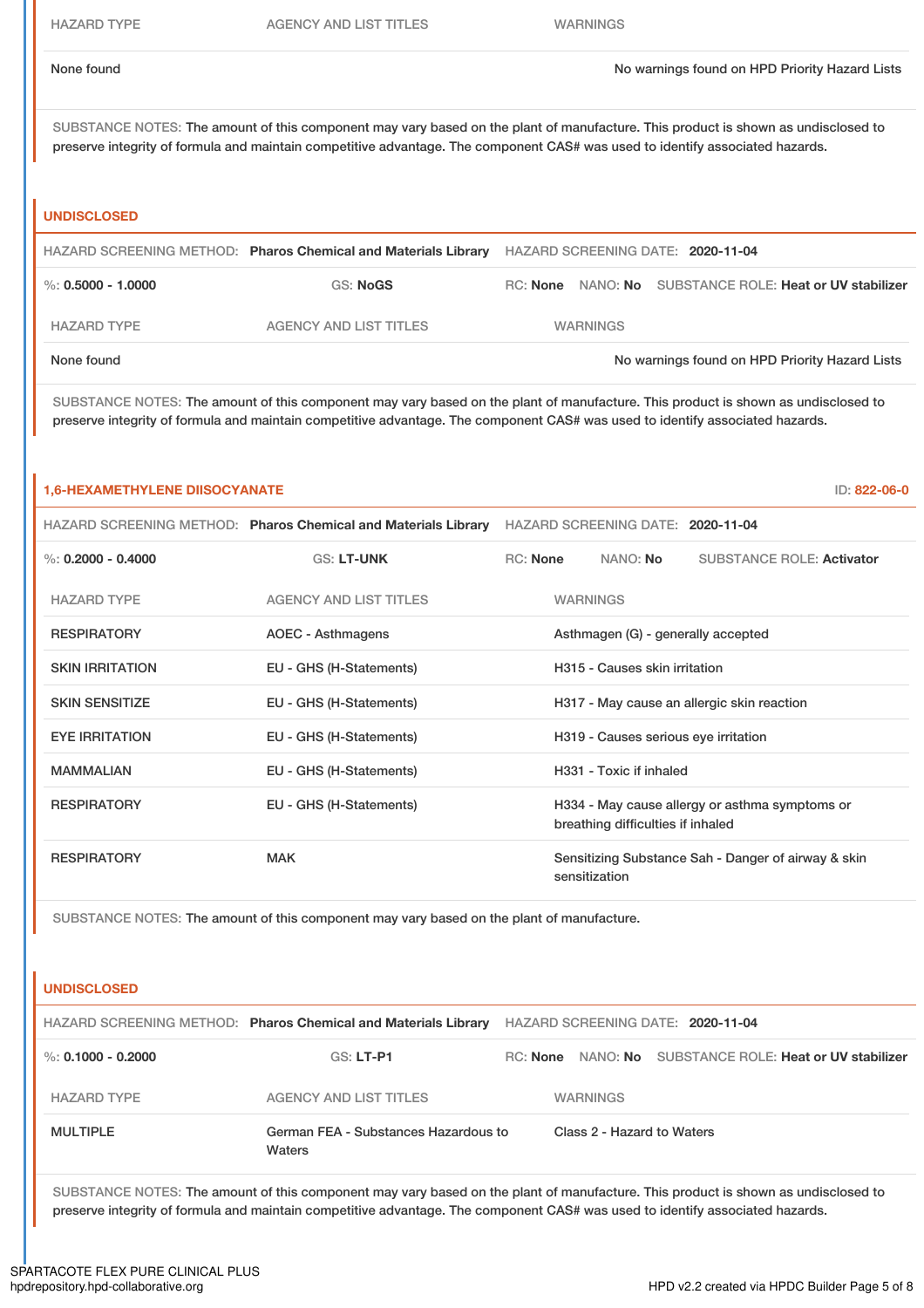SUBSTANCE NOTES: The amount of this component may vary based on the plant of manufacture. This product is shown as undisclosed to preserve integrity of formula and maintain competitive advantage. The component CAS# was used to identify associated hazards.

### **UNDISCLOSED**

|                      | HAZARD SCREENING METHOD: Pharos Chemical and Materials Library | HAZARD SCREENING DATE: 2020-11-04 |                 |                                                |
|----------------------|----------------------------------------------------------------|-----------------------------------|-----------------|------------------------------------------------|
| %: $0.5000 - 1.0000$ | <b>GS: NoGS</b>                                                | RC: None                          |                 | NANO: No SUBSTANCE ROLE: Heat or UV stabilizer |
| <b>HAZARD TYPE</b>   | AGENCY AND LIST TITLES                                         |                                   | <b>WARNINGS</b> |                                                |
| None found           |                                                                |                                   |                 | No warnings found on HPD Priority Hazard Lists |

SUBSTANCE NOTES: The amount of this component may vary based on the plant of manufacture. This product is shown as undisclosed to preserve integrity of formula and maintain competitive advantage. The component CAS# was used to identify associated hazards.

### **1,6-HEXAMETHYLENE DIISOCYANATE** ID: **822-06-0**

|                        | HAZARD SCREENING METHOD: Pharos Chemical and Materials Library | HAZARD SCREENING DATE: 2020-11-04                                                   |  |  |
|------------------------|----------------------------------------------------------------|-------------------------------------------------------------------------------------|--|--|
| %: $0.2000 - 0.4000$   | <b>GS: LT-UNK</b>                                              | RC: None<br>NANO: No<br><b>SUBSTANCE ROLE: Activator</b>                            |  |  |
| <b>HAZARD TYPE</b>     | <b>AGENCY AND LIST TITLES</b>                                  | <b>WARNINGS</b>                                                                     |  |  |
| <b>RESPIRATORY</b>     | AOEC - Asthmagens                                              | Asthmagen (G) - generally accepted                                                  |  |  |
| <b>SKIN IRRITATION</b> | EU - GHS (H-Statements)                                        | H315 - Causes skin irritation                                                       |  |  |
| <b>SKIN SENSITIZE</b>  | EU - GHS (H-Statements)                                        | H317 - May cause an allergic skin reaction                                          |  |  |
| <b>EYE IRRITATION</b>  | EU - GHS (H-Statements)                                        | H319 - Causes serious eye irritation                                                |  |  |
| <b>MAMMALIAN</b>       | EU - GHS (H-Statements)                                        | H331 - Toxic if inhaled                                                             |  |  |
| <b>RESPIRATORY</b>     | EU - GHS (H-Statements)                                        | H334 - May cause allergy or asthma symptoms or<br>breathing difficulties if inhaled |  |  |
| <b>RESPIRATORY</b>     | <b>MAK</b>                                                     | Sensitizing Substance Sah - Danger of airway & skin<br>sensitization                |  |  |

SUBSTANCE NOTES: The amount of this component may vary based on the plant of manufacture.

# **UNDISCLOSED** HAZARD SCREENING METHOD: **Pharos Chemical and Materials Library** HAZARD SCREENING DATE: **2020-11-04** %: **0.1000 - 0.2000** GS: **LT-P1** RC: **None** NANO: **No** SUBSTANCE ROLE: **Heat or UV stabilizer** HAZARD TYPE **AGENCY AND LIST TITLES** WARNINGS MULTIPLE German FEA - Substances Hazardous to Waters Class 2 - Hazard to Waters

SUBSTANCE NOTES: The amount of this component may vary based on the plant of manufacture. This product is shown as undisclosed to preserve integrity of formula and maintain competitive advantage. The component CAS# was used to identify associated hazards.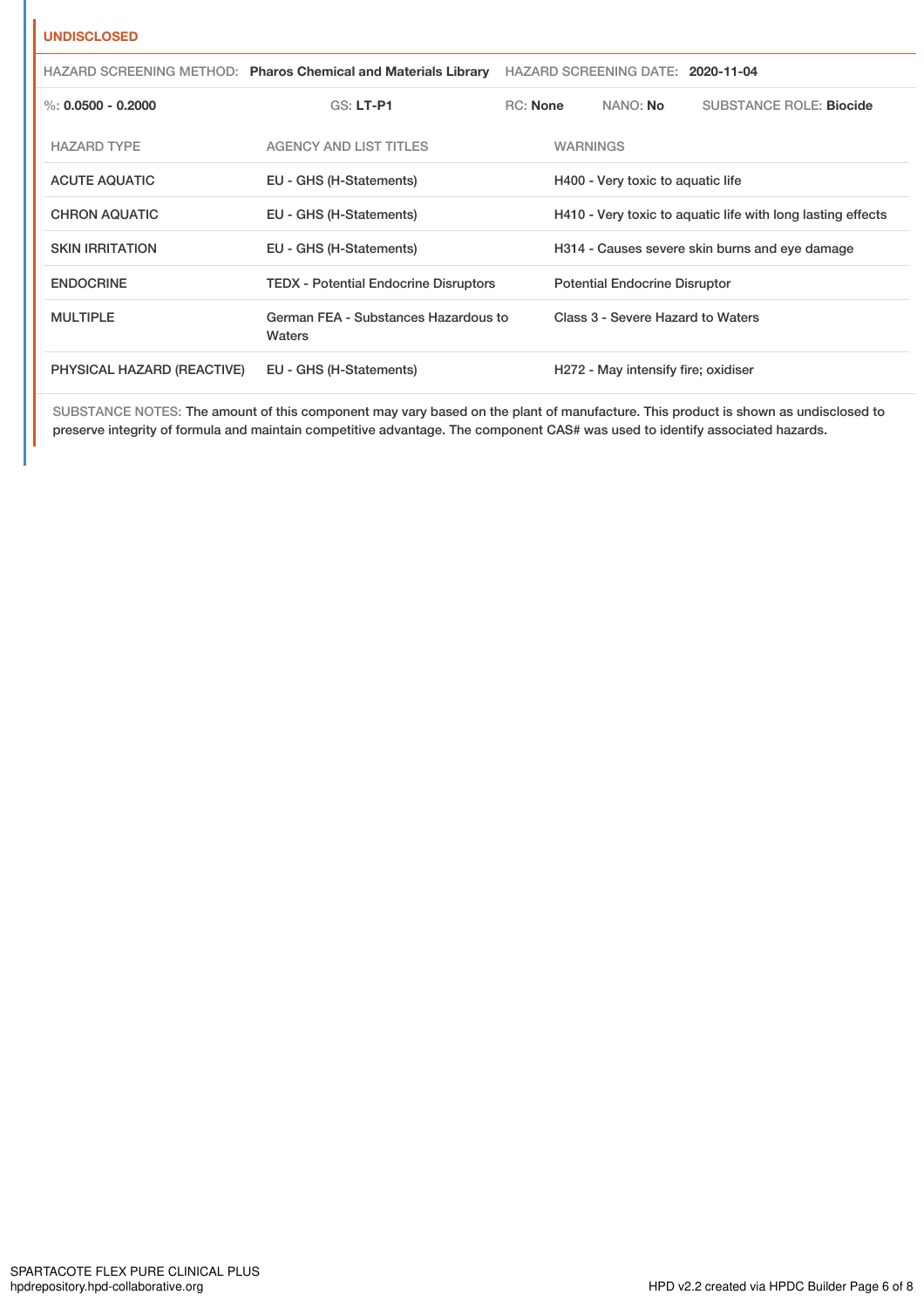## **UNDISCLOSED**

|                            | HAZARD SCREENING METHOD: Pharos Chemical and Materials Library | HAZARD SCREENING DATE: 2020-11-04 |                                                |                                      |                                                             |
|----------------------------|----------------------------------------------------------------|-----------------------------------|------------------------------------------------|--------------------------------------|-------------------------------------------------------------|
| %: $0.0500 - 0.2000$       | <b>GS: LT-P1</b>                                               | RC: None                          |                                                | NANO: <b>No</b>                      | SUBSTANCE ROLE: Biocide                                     |
| <b>HAZARD TYPE</b>         | <b>AGENCY AND LIST TITLES</b>                                  |                                   | <b>WARNINGS</b>                                |                                      |                                                             |
| <b>ACUTE AQUATIC</b>       | EU - GHS (H-Statements)                                        |                                   |                                                | H400 - Very toxic to aquatic life    |                                                             |
| <b>CHRON AQUATIC</b>       | EU - GHS (H-Statements)                                        |                                   |                                                |                                      | H410 - Very toxic to aquatic life with long lasting effects |
| <b>SKIN IRRITATION</b>     | EU - GHS (H-Statements)                                        |                                   | H314 - Causes severe skin burns and eye damage |                                      |                                                             |
| <b>ENDOCRINE</b>           | <b>TEDX - Potential Endocrine Disruptors</b>                   |                                   |                                                | <b>Potential Endocrine Disruptor</b> |                                                             |
| <b>MULTIPLE</b>            | German FEA - Substances Hazardous to<br>Waters                 |                                   |                                                | Class 3 - Severe Hazard to Waters    |                                                             |
| PHYSICAL HAZARD (REACTIVE) | EU - GHS (H-Statements)                                        |                                   |                                                | H272 - May intensify fire; oxidiser  |                                                             |

SUBSTANCE NOTES: The amount of this component may vary based on the plant of manufacture. This product is shown as undisclosed to preserve integrity of formula and maintain competitive advantage. The component CAS# was used to identify associated hazards.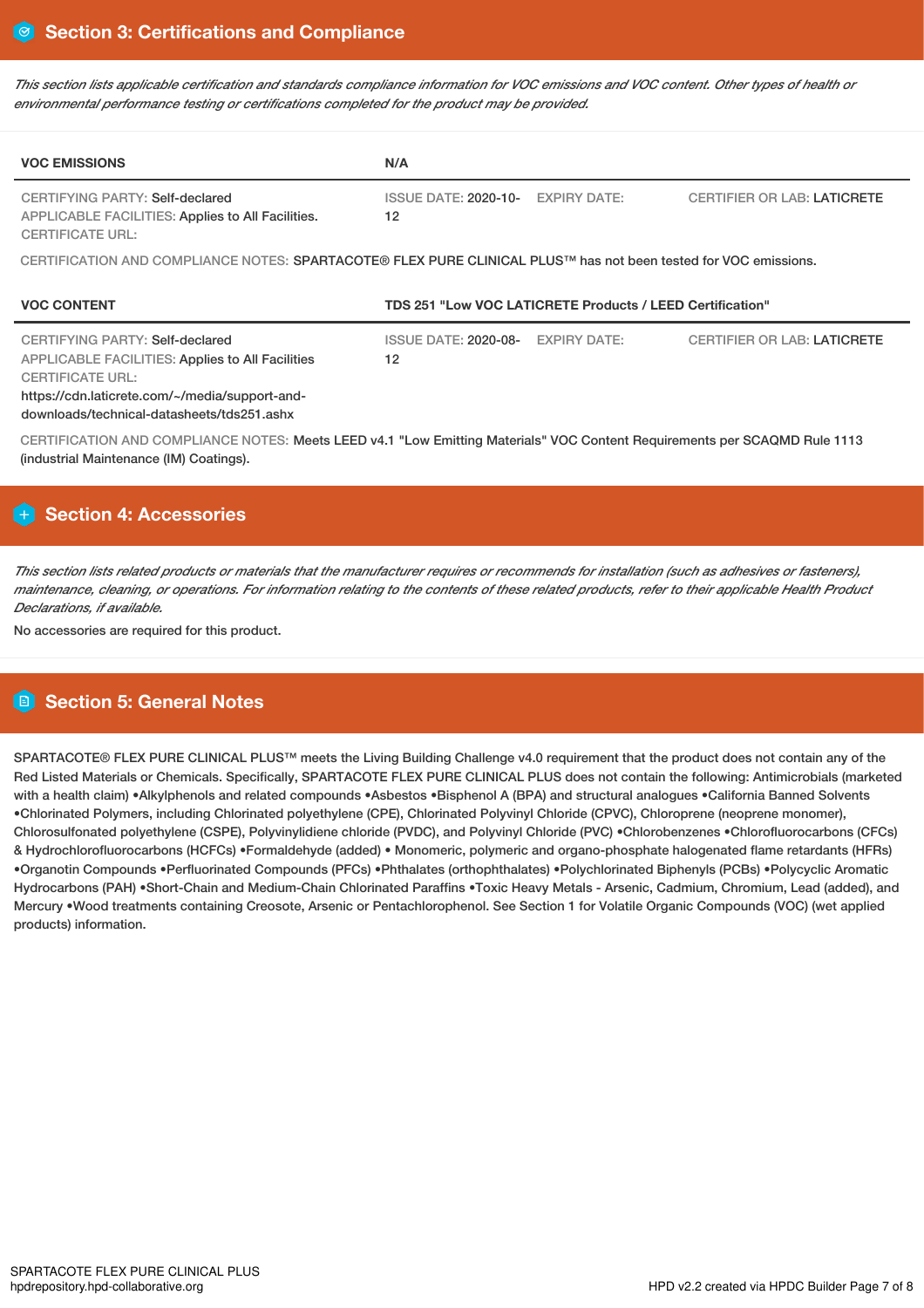This section lists applicable certification and standards compliance information for VOC emissions and VOC content. Other types of health or *environmental performance testing or certifications completed for the product may be provided.*

| <b>VOC EMISSIONS</b>                                                                                                                                                                                                  | N/A                                                                                                             |                     |                                    |  |  |  |
|-----------------------------------------------------------------------------------------------------------------------------------------------------------------------------------------------------------------------|-----------------------------------------------------------------------------------------------------------------|---------------------|------------------------------------|--|--|--|
| <b>CERTIFYING PARTY: Self-declared</b><br><b>APPLICABLE FACILITIES: Applies to All Facilities.</b><br><b>CERTIFICATE URL:</b>                                                                                         | <b>ISSUE DATE: 2020-10-</b><br>12                                                                               | <b>EXPIRY DATE:</b> | <b>CERTIFIER OR LAB: LATICRETE</b> |  |  |  |
|                                                                                                                                                                                                                       | CERTIFICATION AND COMPLIANCE NOTES: SPARTACOTE® FLEX PURE CLINICAL PLUS™ has not been tested for VOC emissions. |                     |                                    |  |  |  |
| <b>VOC CONTENT</b>                                                                                                                                                                                                    | TDS 251 "Low VOC LATICRETE Products / LEED Certification"                                                       |                     |                                    |  |  |  |
|                                                                                                                                                                                                                       |                                                                                                                 |                     |                                    |  |  |  |
| CERTIFYING PARTY: Self-declared<br><b>APPLICABLE FACILITIES: Applies to All Facilities</b><br><b>CERTIFICATE URL:</b><br>https://cdn.laticrete.com/~/media/support-and-<br>downloads/technical-datasheets/tds251.ashx | <b>ISSUE DATE: 2020-08-</b><br>12                                                                               | <b>EXPIRY DATE:</b> | <b>CERTIFIER OR LAB: LATICRETE</b> |  |  |  |

# **Section 4: Accessories**

This section lists related products or materials that the manufacturer requires or recommends for installation (such as adhesives or fasteners). maintenance, cleaning, or operations. For information relating to the contents of these related products, refer to their applicable Health Product *Declarations, if available.*

No accessories are required for this product.

# **Section 5: General Notes**

SPARTACOTE® FLEX PURE CLINICAL PLUS™ meets the Living Building Challenge v4.0 requirement that the product does not contain any of the Red Listed Materials or Chemicals. Specifically, SPARTACOTE FLEX PURE CLINICAL PLUS does not contain the following: Antimicrobials (marketed with a health claim) •Alkylphenols and related compounds •Asbestos •Bisphenol A (BPA) and structural analogues •California Banned Solvents •Chlorinated Polymers, including Chlorinated polyethylene (CPE), Chlorinated Polyvinyl Chloride (CPVC), Chloroprene (neoprene monomer), Chlorosulfonated polyethylene (CSPE), Polyvinylidiene chloride (PVDC), and Polyvinyl Chloride (PVC) •Chlorobenzenes •Chlorofluorocarbons (CFCs) & Hydrochlorofluorocarbons (HCFCs) •Formaldehyde (added) • Monomeric, polymeric and organo-phosphate halogenated flame retardants (HFRs) •Organotin Compounds •Perfluorinated Compounds (PFCs) •Phthalates (orthophthalates) •Polychlorinated Biphenyls (PCBs) •Polycyclic Aromatic Hydrocarbons (PAH) •Short-Chain and Medium-Chain Chlorinated Paraffins •Toxic Heavy Metals - Arsenic, Cadmium, Chromium, Lead (added), and Mercury •Wood treatments containing Creosote, Arsenic or Pentachlorophenol. See Section 1 for Volatile Organic Compounds (VOC) (wet applied products) information.